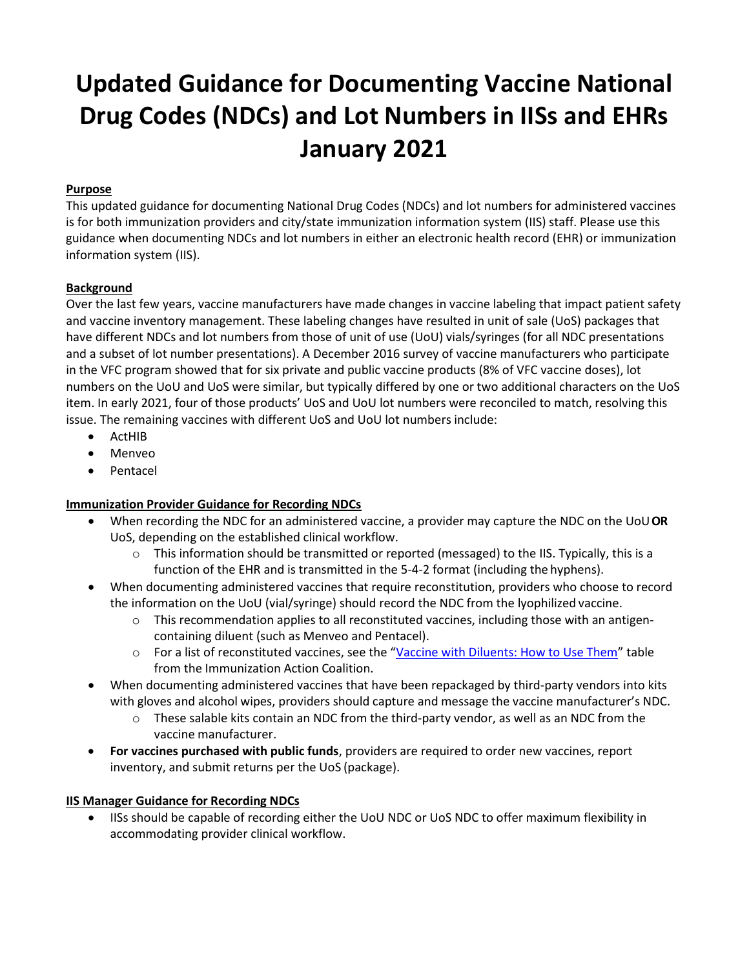# **Updated Guidance for Documenting Vaccine National Drug Codes (NDCs) and Lot Numbers in IISs and EHRs January 2021**

## **Purpose**

This updated guidance for documenting National Drug Codes (NDCs) and lot numbers for administered vaccines is for both immunization providers and city/state immunization information system (IIS) staff. Please use this guidance when documenting NDCs and lot numbers in either an electronic health record (EHR) or immunization information system (IIS).

## **Background**

Over the last few years, vaccine manufacturers have made changes in vaccine labeling that impact patient safety and vaccine inventory management. These labeling changes have resulted in unit of sale (UoS) packages that have different NDCs and lot numbers from those of unit of use (UoU) vials/syringes (for all NDC presentations and a subset of lot number presentations). A December 2016 survey of vaccine manufacturers who participate in the VFC program showed that for six private and public vaccine products (8% of VFC vaccine doses), lot numbers on the UoU and UoS were similar, but typically differed by one or two additional characters on the UoS item. In early 2021, four of those products' UoS and UoU lot numbers were reconciled to match, resolving this issue. The remaining vaccines with different UoS and UoU lot numbers include:

- ActHIB
- Menveo
- **Pentacel**

## **Immunization Provider Guidance for Recording NDCs**

- When recording the NDC for an administered vaccine, a provider may capture the NDC on the UoU**OR** UoS, depending on the established clinical workflow.
	- $\circ$  This information should be transmitted or reported (messaged) to the IIS. Typically, this is a function of the EHR and is transmitted in the 5-4-2 format (including the hyphens).
- When documenting administered vaccines that require reconstitution, providers who choose to record the information on the UoU (vial/syringe) should record the NDC from the lyophilized vaccine.
	- $\circ$  This recommendation applies to all reconstituted vaccines, including those with an antigencontaining diluent (such as Menveo and Pentacel).
	- o For a list of reconstituted vaccines, see the "[Vaccine with Diluents: How to Use Them](http://www.immunize.org/catg.d/p3040.pdf)" table from the Immunization Action Coalition.
- When documenting administered vaccines that have been repackaged by third-party vendors into kits with gloves and alcohol wipes, providers should capture and message the vaccine manufacturer's NDC.
	- $\circ$  These salable kits contain an NDC from the third-party vendor, as well as an NDC from the vaccine manufacturer.
- **For vaccines purchased with public funds**, providers are required to order new vaccines, report inventory, and submit returns per the UoS (package).

## **IIS Manager Guidance for Recording NDCs**

• IISs should be capable of recording either the UoU NDC or UoS NDC to offer maximum flexibility in accommodating provider clinical workflow.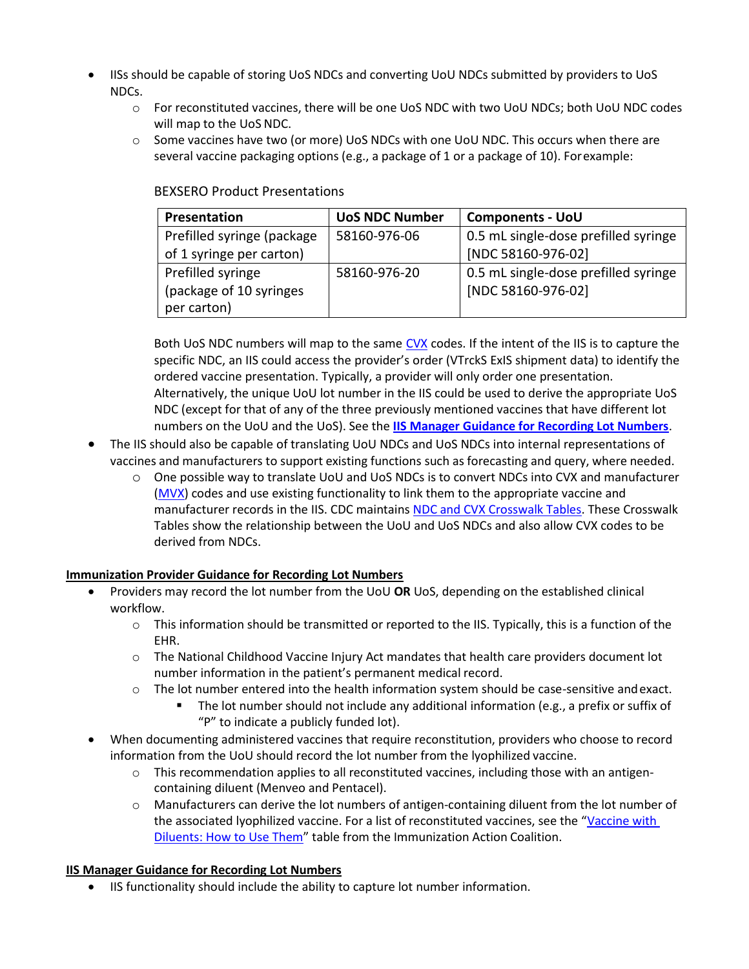- IISs should be capable of storing UoS NDCs and converting UoU NDCs submitted by providers to UoS NDCs.
	- o For reconstituted vaccines, there will be one UoS NDC with two UoU NDCs; both UoU NDC codes will map to the UoS NDC.
	- o Some vaccines have two (or more) UoS NDCs with one UoU NDC. This occurs when there are several vaccine packaging options (e.g., a package of 1 or a package of 10). Forexample:

| Presentation               | <b>UoS NDC Number</b> | <b>Components - UoU</b>              |
|----------------------------|-----------------------|--------------------------------------|
| Prefilled syringe (package | 58160-976-06          | 0.5 mL single-dose prefilled syringe |
| of 1 syringe per carton)   |                       | [NDC 58160-976-02]                   |
| Prefilled syringe          | 58160-976-20          | 0.5 mL single-dose prefilled syringe |
| (package of 10 syringes)   |                       | [NDC 58160-976-02]                   |
| per carton)                |                       |                                      |

#### BEXSERO Product Presentations

Both UoS NDC numbers will map to the sam[e CVX](https://www2a.cdc.gov/vaccines/iis/iisstandards/vaccines.asp?rpt=cvx) codes. If the intent of the IIS is to capture the specific NDC, an IIS could access the provider's order (VTrckS ExIS shipment data) to identify the ordered vaccine presentation. Typically, a provider will only order one presentation. Alternatively, the unique UoU lot number in the IIS could be used to derive the appropriate UoS NDC (except for that of any of the three previously mentioned vaccines that have different lot numbers on the UoU and the UoS). See the **IIS Manager Guidance for Recording Lot Numbers**.

- The IIS should also be capable of translating UoU NDCs and UoS NDCs into internal representations of vaccines and manufacturers to support existing functions such as forecasting and query, where needed.
	- o One possible way to translate UoU and UoS NDCs is to convert NDCs into CVX and manufacturer [\(MVX\)](https://www2a.cdc.gov/vaccines/iis/iisstandards/vaccines.asp?rpt=mvx) codes and use existing functionality to link them to the appropriate vaccine and manufacturer records in the IIS. CDC maintains [NDC and CVX Crosswalk Tables.](https://www2a.cdc.gov/vaccines/iis/iisstandards/ndc_crosswalk.asp) These Crosswalk Tables show the relationship between the UoU and UoS NDCs and also allow CVX codes to be derived from NDCs.

## **Immunization Provider Guidance for Recording Lot Numbers**

- Providers may record the lot number from the UoU **OR** UoS, depending on the established clinical workflow.
	- $\circ$  This information should be transmitted or reported to the IIS. Typically, this is a function of the EHR.
	- o The National Childhood Vaccine Injury Act mandates that health care providers document lot number information in the patient's permanent medical record.
	- o The lot number entered into the health information system should be case-sensitive andexact.
		- The lot number should not include any additional information (e.g., a prefix or suffix of "P" to indicate a publicly funded lot).
- When documenting administered vaccines that require reconstitution, providers who choose to record information from the UoU should record the lot number from the lyophilized vaccine.
	- $\circ$  This recommendation applies to all reconstituted vaccines, including those with an antigencontaining diluent (Menveo and Pentacel).
	- $\circ$  Manufacturers can derive the lot numbers of antigen-containing diluent from the lot number of the associated lyophilized vaccine. For a list of reconstituted vaccines, see the "[Vaccine with](http://www.immunize.org/catg.d/p3040.pdf) [Diluents: How to Use Them](http://www.immunize.org/catg.d/p3040.pdf)" table from the Immunization Action Coalition.

## **IIS Manager Guidance for Recording Lot Numbers**

• IIS functionality should include the ability to capture lot number information.